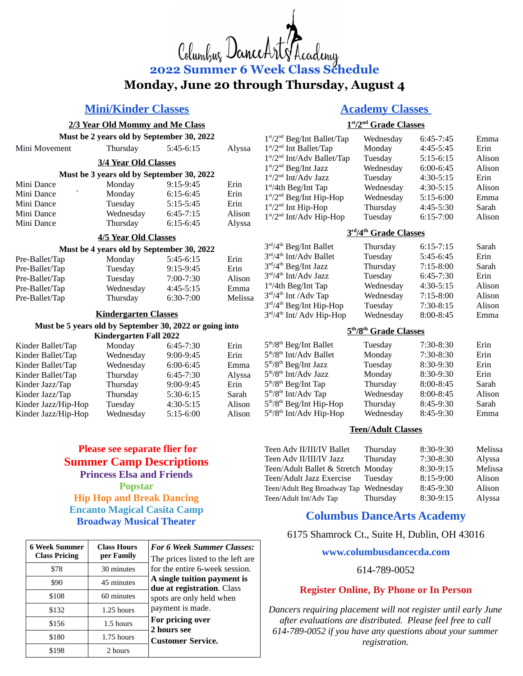# Columbuz DanceA **2022 Summer 6 Week Class Schedule Monday, June 20 through Thursday, August 4**

## **Mini/Kinder Classes**

#### **2/3 Year Old Mommy and Me Class**

| Mini Movement        | Thursday                                  | $5:45-6:15$   | Alyssa |
|----------------------|-------------------------------------------|---------------|--------|
| 3/4 Year Old Classes |                                           |               |        |
|                      | Must be 3 years old by September 30, 2022 |               |        |
| Mini Dance           | Monday                                    | $9:15-9:45$   | Erin   |
| Mini Dance           | Monday                                    | $6:15-6:45$   | Erin   |
| Mini Dance           | Tuesday                                   | $5:15 - 5:45$ | Erin   |
| Mini Dance           | Wednesday                                 | $6:45-7:15$   | Alison |
| Mini Dance           | Thursday                                  | $6:15-6:45$   | Alyssa |

#### **4/5 Year Old Classes**

#### **Must be 4 years old by September 30, 2022** Pre-Ballet/Tap Monday 5:45-6:15 Erin Pre-Ballet/Tap Tuesday 9:15-9:45 Erin Pre-Ballet/Tap Tuesday 7:00-7:30 Alison Pre-Ballet/Tap Wednesday 4:45-5:15 Emma Pre-Ballet/Tap Thursday 6:30-7:00 Melissa

#### **Kindergarten Classes**

#### **Must be 5 years old by September 30, 2022 or going into Kindergarten Fall 2022**

|                     | 1 under 5 ur ten 1 un = 0 = = |               |        |
|---------------------|-------------------------------|---------------|--------|
| Kinder Ballet/Tap   | Monday                        | 6:45-7:30     | Erin   |
| Kinder Ballet/Tap   | Wednesday                     | 9:00-9:45     | Erin   |
| Kinder Ballet/Tap   | Wednesday                     | 6:00-6:45     | Emma   |
| Kinder Ballet/Tap   | Thursday                      | 6:45-7:30     | Alyssa |
| Kinder Jazz/Tap     | Thursday                      | $9:00 - 9:45$ | Erin   |
| Kinder Jazz/Tap     | Thursday                      | 5:30-6:15     | Sarah  |
| Kinder Jazz/Hip-Hop | Tuesday                       | $4:30-5:15$   | Alison |
| Kinder Jazz/Hip-Hop | Wednesday                     | 5:15-6:00     | Alison |

## **Please see separate flier for Summer Camp Descriptions Princess Elsa and Friends Popstar Hip Hop and Break Dancing Encanto Magical Casita Camp Broadway Musical Theater**

| <b>6 Week Summer</b><br><b>Class Pricing</b> | <b>Class Hours</b><br>per Family | <b>For 6 Week Summer Classes:</b><br>The prices listed to the left are |
|----------------------------------------------|----------------------------------|------------------------------------------------------------------------|
| \$78                                         | 30 minutes                       | for the entire 6-week session.                                         |
| \$90                                         | 45 minutes                       | A single tuition payment is<br>due at registration. Class              |
| \$108                                        | 60 minutes                       | spots are only held when                                               |
| \$132                                        | 1.25 hours                       | payment is made.                                                       |
| \$156                                        | 1.5 hours                        | For pricing over<br>2 hours see                                        |
| \$180                                        | 1.75 hours                       | <b>Customer Service.</b>                                               |
| \$198                                        | 2 hours                          |                                                                        |

# **Academy Classes**

### **1 st /2nd Grade Classes**

| 1 <sup>st</sup> /2 <sup>nd</sup> Beg/Int Ballet/Tap | Wednesday | $6:45-7:45$   | Emma   |
|-----------------------------------------------------|-----------|---------------|--------|
| $1st/2nd$ Int Ballet/Tap                            | Monday    | 4:45-5:45     | Erin   |
| 1 <sup>st</sup> /2 <sup>nd</sup> Int/Adv Ballet/Tap | Tuesday   | 5:15-6:15     | Alison |
| $1st/2nd$ Beg/Int Jazz                              | Wednesday | 6:00-6:45     | Alison |
| $1st/2nd$ Int/Adv Jazz                              | Tuesday   | $4:30 - 5:15$ | Erin   |
| $1st/4th$ Beg/Int Tap                               | Wednesday | $4:30 - 5:15$ | Alison |
| $1st/2nd$ Beg/Int Hip-Hop                           | Wednesday | $5:15-6:00$   | Emma   |
| $1st/2nd$ Int Hip-Hop                               | Thursday  | 4:45-5:30     | Sarah  |
| $1st/2nd$ Int/Adv Hip-Hop                           | Tuesday   | $6:15-7:00$   | Alison |

#### **3 rd /4th Grade Classes**

| 3rd/4 <sup>th</sup> Beg/Int Ballet | Thursday  | $6:15 - 7:15$ | Sarah  |
|------------------------------------|-----------|---------------|--------|
| 3rd/4 <sup>th</sup> Int/Adv Ballet | Tuesday   | 5:45-6:45     | Erin   |
| $3rd/4th$ Beg/Int Jazz             | Thursday  | $7:15-8:00$   | Sarah  |
| $3rd/4th Int/Adv$ Jazz             | Tuesday   | 6:45-7:30     | Erin   |
| $1st/4th$ Beg/Int Tap              | Wednesday | 4:30-5:15     | Alison |
| $3rd/4th$ Int /Adv Tap             | Wednesday | $7:15-8:00$   | Alison |
| $3rd/4th$ Beg/Int Hip-Hop          | Tuesday   | 7:30-8:15     | Alison |
| $3rd/4th$ Int/ Adv Hip-Hop         | Wednesday | 8:00-8:45     | Emma   |

#### **5 th /8th Grade Classes**

| Tuesday   | 7:30-8:30 | Erin   |
|-----------|-----------|--------|
| Monday    | 7:30-8:30 | Erin   |
| Tuesday   | 8:30-9:30 | Erin   |
| Monday    | 8:30-9:30 | Erin   |
| Thursday  | 8:00-8:45 | Sarah  |
| Wednesday | 8:00-8:45 | Alison |
| Thursday  | 8:45-9:30 | Sarah  |
| Wednesday | 8:45-9:30 | Emma   |
|           |           |        |

#### **Teen/Adult Classes**

| Teen Adv II/III/IV Ballet             | Thursday | 8:30-9:30 | Melissa |
|---------------------------------------|----------|-----------|---------|
| Teen Adv II/III/IV Jazz               | Thursday | 7:30-8:30 | Alyssa  |
| Teen/Adult Ballet & Stretch Monday    |          | 8:30-9:15 | Melissa |
| Teen/Adult Jazz Exercise              | Tuesdav  | 8:15-9:00 | Alison  |
| Teen/Adult Beg Broadway Tap Wednesday |          | 8:45-9:30 | Alison  |
| Teen/Adult Int/Adv Tap                | Thursday | 8:30-9:15 | Alyssa  |

## **Columbus DanceArts Academy**

6175 Shamrock Ct., Suite H, Dublin, OH 43016

**www.columbusdancecda.com**

#### 614-789-0052

## **Register Online, By Phone or In Person**

*Dancers requiring placement will not register until early June after evaluations are distributed. Please feel free to call 614-789-0052 if you have any questions about your summer registration.*